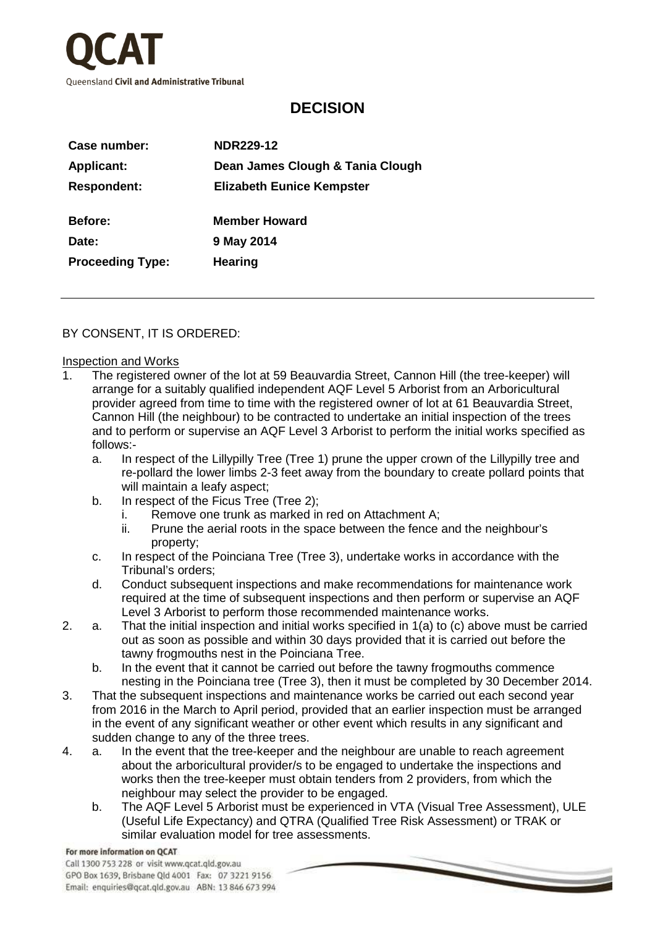

# **DECISION**

| <b>NDR229-12</b>                 |
|----------------------------------|
| Dean James Clough & Tania Clough |
| <b>Elizabeth Eunice Kempster</b> |
|                                  |
| <b>Member Howard</b>             |
| 9 May 2014                       |
| <b>Hearing</b>                   |
|                                  |

# BY CONSENT, IT IS ORDERED:

## Inspection and Works

- 1. The registered owner of the lot at 59 Beauvardia Street, Cannon Hill (the tree-keeper) will arrange for a suitably qualified independent AQF Level 5 Arborist from an Arboricultural provider agreed from time to time with the registered owner of lot at 61 Beauvardia Street, Cannon Hill (the neighbour) to be contracted to undertake an initial inspection of the trees and to perform or supervise an AQF Level 3 Arborist to perform the initial works specified as follows:
	- a. In respect of the Lillypilly Tree (Tree 1) prune the upper crown of the Lillypilly tree and re-pollard the lower limbs 2-3 feet away from the boundary to create pollard points that will maintain a leafy aspect;
	- b. In respect of the Ficus Tree (Tree 2);
		- i. Remove one trunk as marked in red on Attachment A;
		- ii. Prune the aerial roots in the space between the fence and the neighbour's property;
	- c. In respect of the Poinciana Tree (Tree 3), undertake works in accordance with the Tribunal's orders;
	- d. Conduct subsequent inspections and make recommendations for maintenance work required at the time of subsequent inspections and then perform or supervise an AQF Level 3 Arborist to perform those recommended maintenance works.
- 2. a. That the initial inspection and initial works specified in 1(a) to (c) above must be carried out as soon as possible and within 30 days provided that it is carried out before the tawny frogmouths nest in the Poinciana Tree.
	- b. In the event that it cannot be carried out before the tawny frogmouths commence nesting in the Poinciana tree (Tree 3), then it must be completed by 30 December 2014.
- 3. That the subsequent inspections and maintenance works be carried out each second year from 2016 in the March to April period, provided that an earlier inspection must be arranged in the event of any significant weather or other event which results in any significant and sudden change to any of the three trees.
- 4. a. In the event that the tree-keeper and the neighbour are unable to reach agreement about the arboricultural provider/s to be engaged to undertake the inspections and works then the tree-keeper must obtain tenders from 2 providers, from which the neighbour may select the provider to be engaged.
	- b. The AQF Level 5 Arborist must be experienced in VTA (Visual Tree Assessment), ULE (Useful Life Expectancy) and QTRA (Qualified Tree Risk Assessment) or TRAK or similar evaluation model for tree assessments.

#### For more information on QCAT